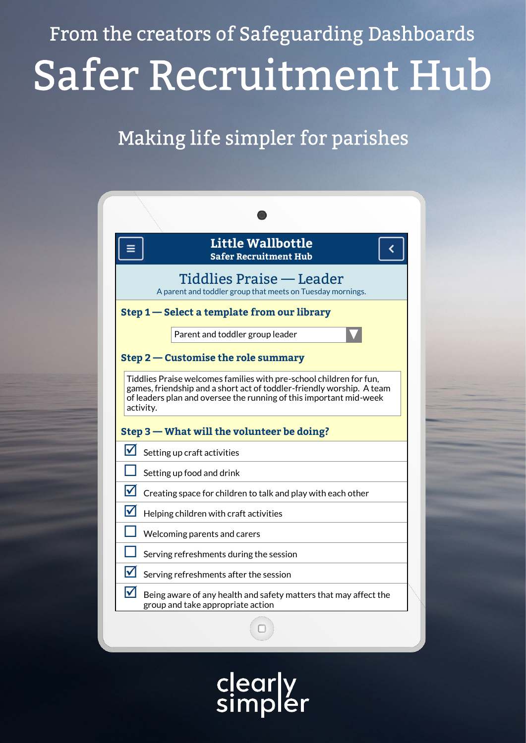From the creators of Safeguarding Dashboards Safer Recruitment Hub

# Making life simpler for parishes



lear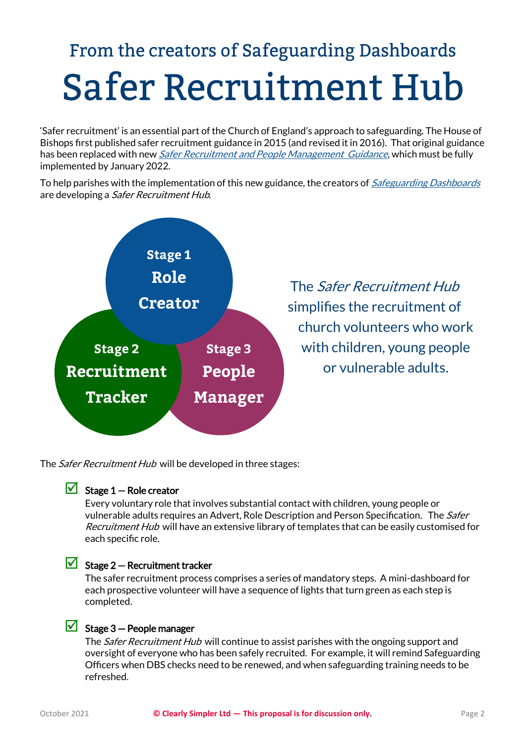# From the creators of Safeguarding Dashboards **Safer Recruitment Hub**

'Safer recruitment' is an essential part of the Church of England's approach to safeguarding. The House of Bishops first published safer recruitment guidance in 2015 (and revised it in 2016). That original guidance has been replaced with new *[Safer Recruitment and People Management Guidance](https://www.churchofengland.org/safeguarding/safeguarding-e-manual/safer-recruitment-and-people-management-guidance)*, which must be fully implemented by January 2022.

To help parishes with the implementation of this new guidance, the creators of *[Safeguarding Dashboards](https://www.safeguardingdashboards.org.uk/about/)* are developing a *Safer Recruitment Hub.* 



The *Safer Recruitment Hub* will be developed in three stages:

### $\triangleright$  Stage 1 – Role creator

Every voluntary role that involves substantial contact with children, young people or vulnerable adults requires an Advert, Role Description and Person Specification. The Safer Recruitment Hub will have an extensive library of templates that can be easily customised for each specific role.

## $\triangleright$  Stage 2 – Recruitment tracker

The safer recruitment process comprises a series of mandatory steps. A mini-dashboard for each prospective volunteer will have a sequence of lights that turn green as each step is completed.

## $\boxdot$  Stage 3 – People manager

The Safer Recruitment Hub will continue to assist parishes with the ongoing support and oversight of everyone who has been safely recruited. For example, it will remind Safeguarding Officers when DBS checks need to be renewed, and when safeguarding training needs to be refreshed.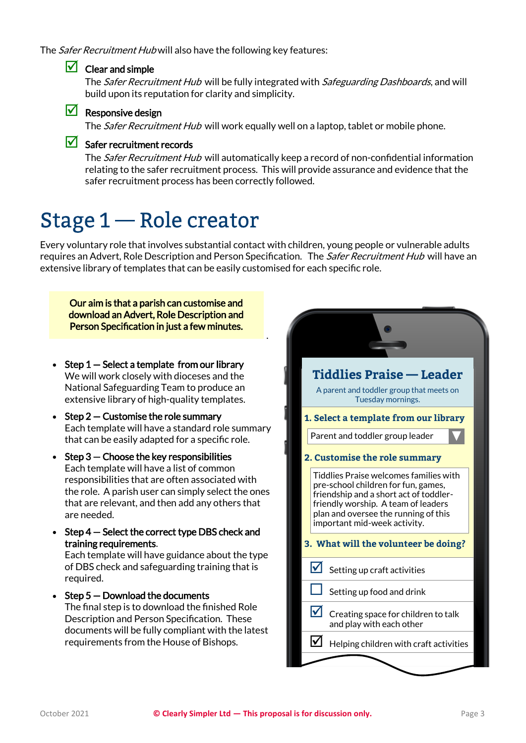The *Safer Recruitment Hub* will also have the following key features:

### $\Box$  Clear and simple

The Safer Recruitment Hub will be fully integrated with Safeguarding Dashboards, and will build upon its reputation for clarity and simplicity.

#### $\sqrt{\phantom{a}}$  Responsive design

The *Safer Recruitment Hub* will work equally well on a laptop, tablet or mobile phone.

### $\sqrt{\phantom{a}}$  Safer recruitment records

The *Safer Recruitment Hub* will automatically keep a record of non-confidential information relating to the safer recruitment process. This will provide assurance and evidence that the safer recruitment process has been correctly followed.

# Stage 1 – Role creator

Every voluntary role that involves substantial contact with children, young people or vulnerable adults requires an Advert, Role Description and Person Specification. The Safer Recruitment Hub will have an extensive library of templates that can be easily customised for each specific role.

.

Our aim is that a parish can customise and download an Advert, Role Description and Person Specification in just a few minutes.

- Step  $1 -$  Select a template from our library We will work closely with dioceses and the National Safeguarding Team to produce an extensive library of high-quality templates.
- Step  $2$  Customise the role summary Each template will have a standard role summary that can be easily adapted for a specific role.
- Step  $3$  Choose the key responsibilities Each template will have a list of common responsibilities that are often associated with the role. A parish user can simply select the ones that are relevant, and then add any others that are needed.
- Step 4 Select the correct type DBS check and training requirements.

Each template will have guidance about the type of DBS check and safeguarding training that is required.

• Step  $5 -$  Download the documents The final step is to download the finished Role Description and Person Specification. These documents will be fully compliant with the latest requirements from the House of Bishops.